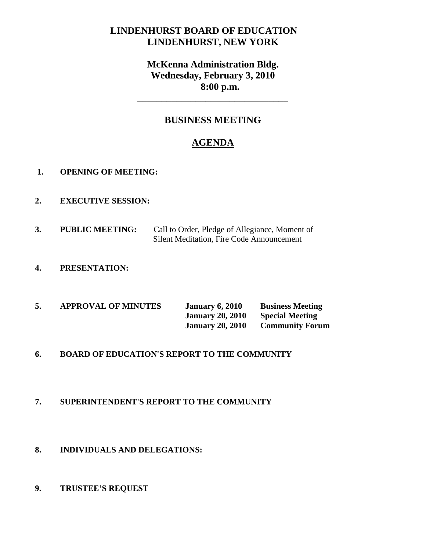# **LINDENHURST BOARD OF EDUCATION LINDENHURST, NEW YORK**

# **McKenna Administration Bldg. Wednesday, February 3, 2010 8:00 p.m.**

**\_\_\_\_\_\_\_\_\_\_\_\_\_\_\_\_\_\_\_\_\_\_\_\_\_\_\_\_\_\_\_**

## **BUSINESS MEETING**

# **AGENDA**

- **1. OPENING OF MEETING:**
- **2. EXECUTIVE SESSION:**
- **3. PUBLIC MEETING:** Call to Order, Pledge of Allegiance, Moment of Silent Meditation, Fire Code Announcement
- **4. PRESENTATION:**
- **5. APPROVAL OF MINUTES January 6, 2010 Business Meeting January 20, 2010 Special Meeting January 20, 2010 Community Forum**

### **6. BOARD OF EDUCATION'S REPORT TO THE COMMUNITY**

### **7. SUPERINTENDENT'S REPORT TO THE COMMUNITY**

### **8. INDIVIDUALS AND DELEGATIONS:**

**9. TRUSTEE'S REQUEST**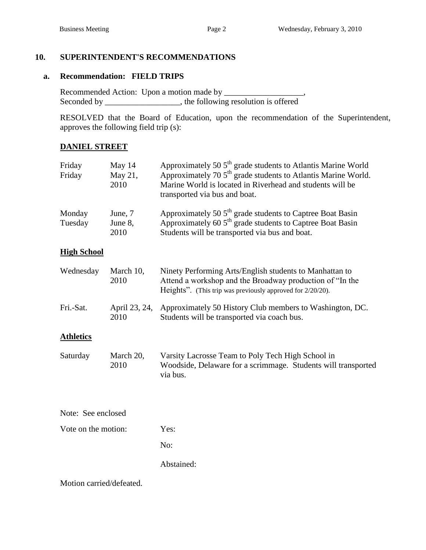## **10. SUPERINTENDENT'S RECOMMENDATIONS**

## **a. Recommendation: FIELD TRIPS**

Recommended Action: Upon a motion made by \_\_\_\_\_\_\_\_\_\_\_\_\_\_\_\_\_, Seconded by \_\_\_\_\_\_\_\_\_\_\_\_\_, the following resolution is offered

RESOLVED that the Board of Education, upon the recommendation of the Superintendent, approves the following field trip (s):

## **DANIEL STREET**

| Friday<br>Friday         | May 14<br>May 21,<br>2010  | Approximately 50 $5th$ grade students to Atlantis Marine World<br>Approximately 70 5 <sup>th</sup> grade students to Atlantis Marine World.<br>Marine World is located in Riverhead and students will be<br>transported via bus and boat. |  |  |
|--------------------------|----------------------------|-------------------------------------------------------------------------------------------------------------------------------------------------------------------------------------------------------------------------------------------|--|--|
| Monday<br>Tuesday        | June, 7<br>June 8,<br>2010 | Approximately 50 5 <sup>th</sup> grade students to Captree Boat Basin<br>Approximately 60 5 <sup>th</sup> grade students to Captree Boat Basin<br>Students will be transported via bus and boat.                                          |  |  |
| <b>High School</b>       |                            |                                                                                                                                                                                                                                           |  |  |
| Wednesday                | March 10,<br>2010          | Ninety Performing Arts/English students to Manhattan to<br>Attend a workshop and the Broadway production of "In the<br>Heights". (This trip was previously approved for 2/20/20).                                                         |  |  |
| Fri.-Sat.                | April 23, 24,<br>2010      | Approximately 50 History Club members to Washington, DC.<br>Students will be transported via coach bus.                                                                                                                                   |  |  |
| <b>Athletics</b>         |                            |                                                                                                                                                                                                                                           |  |  |
| Saturday                 | March 20,<br>2010          | Varsity Lacrosse Team to Poly Tech High School in<br>Woodside, Delaware for a scrimmage. Students will transported<br>via bus.                                                                                                            |  |  |
| Note: See enclosed       |                            |                                                                                                                                                                                                                                           |  |  |
| Vote on the motion:      |                            | Yes:                                                                                                                                                                                                                                      |  |  |
|                          |                            | No:                                                                                                                                                                                                                                       |  |  |
|                          |                            | Abstained:                                                                                                                                                                                                                                |  |  |
| Motion carried/defeated. |                            |                                                                                                                                                                                                                                           |  |  |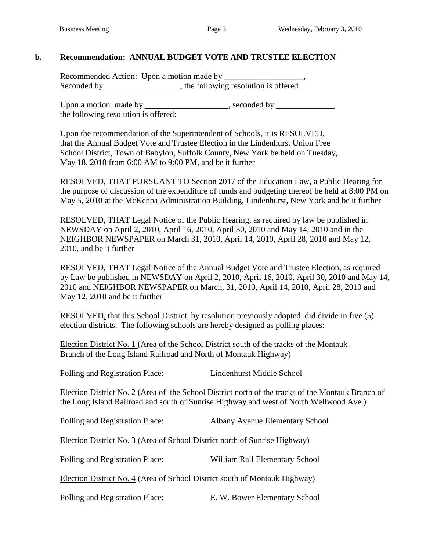### **b. Recommendation: ANNUAL BUDGET VOTE AND TRUSTEE ELECTION**

Recommended Action: Upon a motion made by \_\_\_\_\_\_\_\_\_\_\_\_\_\_\_\_\_\_\_, Seconded by \_\_\_\_\_\_\_\_\_\_\_\_\_\_\_, the following resolution is offered

Upon a motion made by \_\_\_\_\_\_\_\_\_\_\_\_\_\_\_\_\_\_, seconded by \_\_\_\_\_\_\_\_\_\_\_\_\_\_\_\_\_\_\_\_\_\_\_\_\_\_\_ the following resolution is offered:

Upon the recommendation of the Superintendent of Schools, it is RESOLVED, that the Annual Budget Vote and Trustee Election in the Lindenhurst Union Free School District, Town of Babylon, Suffolk County, New York be held on Tuesday, May 18, 2010 from 6:00 AM to 9:00 PM, and be it further

RESOLVED, THAT PURSUANT TO Section 2017 of the Education Law, a Public Hearing for the purpose of discussion of the expenditure of funds and budgeting thereof be held at 8:00 PM on May 5, 2010 at the McKenna Administration Building, Lindenhurst, New York and be it further

RESOLVED, THAT Legal Notice of the Public Hearing, as required by law be published in NEWSDAY on April 2, 2010, April 16, 2010, April 30, 2010 and May 14, 2010 and in the NEIGHBOR NEWSPAPER on March 31, 2010, April 14, 2010, April 28, 2010 and May 12, 2010, and be it further

RESOLVED, THAT Legal Notice of the Annual Budget Vote and Trustee Election, as required by Law be published in NEWSDAY on April 2, 2010, April 16, 2010, April 30, 2010 and May 14, 2010 and NEIGHBOR NEWSPAPER on March, 31, 2010, April 14, 2010, April 28, 2010 and May 12, 2010 and be it further

RESOLVED, that this School District, by resolution previously adopted, did divide in five (5) election districts. The following schools are hereby designed as polling places:

Election District No. 1 (Area of the School District south of the tracks of the Montauk Branch of the Long Island Railroad and North of Montauk Highway)

Polling and Registration Place: Lindenhurst Middle School

Election District No. 2 (Area of the School District north of the tracks of the Montauk Branch of the Long Island Railroad and south of Sunrise Highway and west of North Wellwood Ave.)

| Polling and Registration Place:                                            | <b>Albany Avenue Elementary School</b> |  |  |  |  |  |
|----------------------------------------------------------------------------|----------------------------------------|--|--|--|--|--|
| Election District No. 3 (Area of School District north of Sunrise Highway) |                                        |  |  |  |  |  |
| Polling and Registration Place:                                            | William Rall Elementary School         |  |  |  |  |  |
| Election District No. 4 (Area of School District south of Montauk Highway) |                                        |  |  |  |  |  |
| Polling and Registration Place:                                            | E. W. Bower Elementary School          |  |  |  |  |  |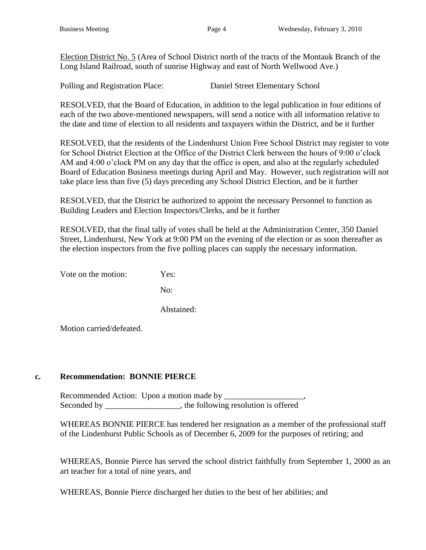Election District No. 5 (Area of School District north of the tracts of the Montauk Branch of the Long Island Railroad, south of sunrise Highway and east of North Wellwood Ave.)

Polling and Registration Place: Daniel Street Elementary School

RESOLVED, that the Board of Education, in addition to the legal publication in four editions of each of the two above-mentioned newspapers, will send a notice with all information relative to the date and time of election to all residents and taxpayers within the District, and be it further

RESOLVED, that the residents of the Lindenhurst Union Free School District may register to vote for School District Election at the Office of the District Clerk between the hours of 9:00 o'clock AM and 4:00 o'clock PM on any day that the office is open, and also at the regularly scheduled Board of Education Business meetings during April and May. However, such registration will not take place less than five (5) days preceding any School District Election, and be it further

RESOLVED, that the District be authorized to appoint the necessary Personnel to function as Building Leaders and Election Inspectors/Clerks, and be it further

RESOLVED, that the final tally of votes shall be held at the Administration Center, 350 Daniel Street, Lindenhurst, New York at 9:00 PM on the evening of the election or as soon thereafter as the election inspectors from the five polling places can supply the necessary information.

Vote on the motion: Yes:

No:

Abstained:

Motion carried/defeated.

### **c. Recommendation: BONNIE PIERCE**

Recommended Action: Upon a motion made by \_\_\_\_\_\_\_\_\_\_\_\_\_\_\_\_\_\_\_, Seconded by \_\_\_\_\_\_\_\_\_\_\_\_\_\_, the following resolution is offered

WHEREAS BONNIE PIERCE has tendered her resignation as a member of the professional staff of the Lindenhurst Public Schools as of December 6, 2009 for the purposes of retiring; and

WHEREAS, Bonnie Pierce has served the school district faithfully from September 1, 2000 as an art teacher for a total of nine years, and

WHEREAS, Bonnie Pierce discharged her duties to the best of her abilities; and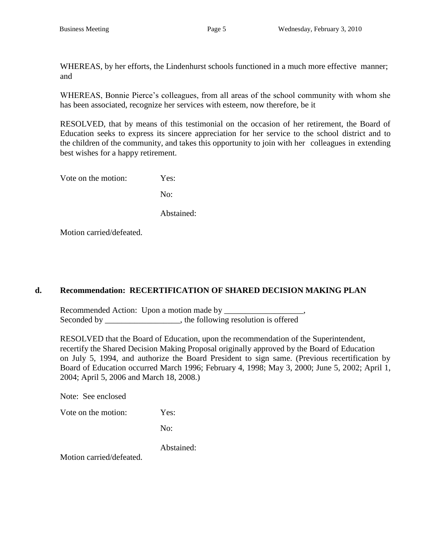WHEREAS, by her efforts, the Lindenhurst schools functioned in a much more effective manner; and

WHEREAS, Bonnie Pierce's colleagues, from all areas of the school community with whom she has been associated, recognize her services with esteem, now therefore, be it

RESOLVED, that by means of this testimonial on the occasion of her retirement, the Board of Education seeks to express its sincere appreciation for her service to the school district and to the children of the community, and takes this opportunity to join with her colleagues in extending best wishes for a happy retirement.

Vote on the motion: Yes:

No:

Abstained:

Motion carried/defeated.

### **d. Recommendation: RECERTIFICATION OF SHARED DECISION MAKING PLAN**

Recommended Action: Upon a motion made by \_\_\_\_\_\_\_\_\_\_\_\_\_\_\_\_\_\_\_, Seconded by \_\_\_\_\_\_\_\_\_\_\_\_\_\_\_, the following resolution is offered

RESOLVED that the Board of Education, upon the recommendation of the Superintendent, recertify the Shared Decision Making Proposal originally approved by the Board of Education on July 5, 1994, and authorize the Board President to sign same. (Previous recertification by Board of Education occurred March 1996; February 4, 1998; May 3, 2000; June 5, 2002; April 1, 2004; April 5, 2006 and March 18, 2008.)

Note: See enclosed

Vote on the motion: Yes:

No:

Abstained:

Motion carried/defeated.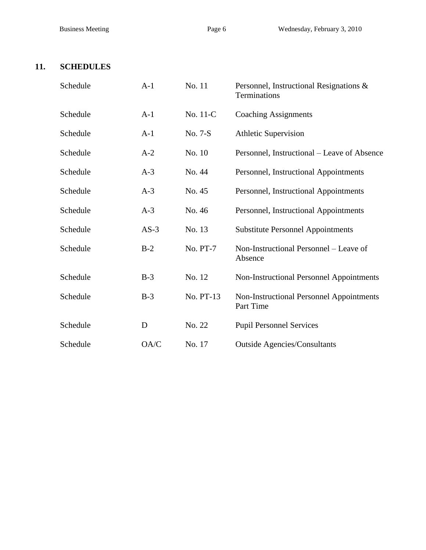## **11. SCHEDULES**

| Schedule | $A-1$  | No. 11    | Personnel, Instructional Resignations &<br>Terminations |
|----------|--------|-----------|---------------------------------------------------------|
| Schedule | $A-1$  | No. 11-C  | <b>Coaching Assignments</b>                             |
| Schedule | $A-1$  | No. 7-S   | <b>Athletic Supervision</b>                             |
| Schedule | $A-2$  | No. 10    | Personnel, Instructional – Leave of Absence             |
| Schedule | $A-3$  | No. 44    | Personnel, Instructional Appointments                   |
| Schedule | $A-3$  | No. 45    | Personnel, Instructional Appointments                   |
| Schedule | $A-3$  | No. 46    | Personnel, Instructional Appointments                   |
| Schedule | $AS-3$ | No. 13    | <b>Substitute Personnel Appointments</b>                |
| Schedule | $B-2$  | No. PT-7  | Non-Instructional Personnel - Leave of<br>Absence       |
| Schedule | $B-3$  | No. 12    | <b>Non-Instructional Personnel Appointments</b>         |
| Schedule | $B-3$  | No. PT-13 | Non-Instructional Personnel Appointments<br>Part Time   |
| Schedule | D      | No. 22    | <b>Pupil Personnel Services</b>                         |
| Schedule | OA/C   | No. 17    | <b>Outside Agencies/Consultants</b>                     |